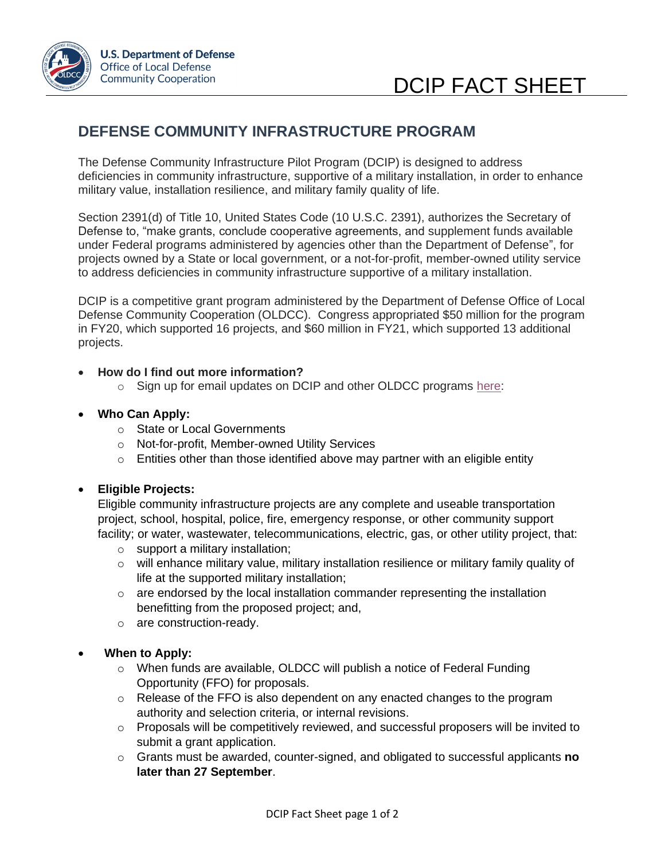

# **DEFENSE COMMUNITY INFRASTRUCTURE PROGRAM**

The Defense Community Infrastructure Pilot Program (DCIP) is designed to address deficiencies in community infrastructure, supportive of a military installation, in order to enhance military value, installation resilience, and military family quality of life.

Section 2391(d) of Title 10, United States Code (10 U.S.C. 2391), authorizes the Secretary of Defense to, "make grants, conclude cooperative agreements, and supplement funds available under Federal programs administered by agencies other than the Department of Defense", for projects owned by a State or local government, or a not-for-profit, member-owned utility service to address deficiencies in community infrastructure supportive of a military installation.

DCIP is a competitive grant program administered by the Department of Defense Office of Local Defense Community Cooperation (OLDCC). Congress appropriated \$50 million for the program in FY20, which supported 16 projects, and \$60 million in FY21, which supported 13 additional projects.

### • **How do I find out more information?**

o Sign up for email updates on DCIP and other OLDCC programs [here:](https://public.govdelivery.com/accounts/USDODOLDCC/signup/14050)

### • **Who Can Apply:**

- o State or Local Governments
- o Not-for-profit, Member-owned Utility Services
- $\circ$  Entities other than those identified above may partner with an eligible entity

# • **Eligible Projects:**

Eligible community infrastructure projects are any complete and useable transportation project, school, hospital, police, fire, emergency response, or other community support facility; or water, wastewater, telecommunications, electric, gas, or other utility project, that:

- o support a military installation;
- o will enhance military value, military installation resilience or military family quality of life at the supported military installation;
- $\circ$  are endorsed by the local installation commander representing the installation benefitting from the proposed project; and,
- o are construction-ready.

# • **When to Apply:**

- o When funds are available, OLDCC will publish a notice of Federal Funding Opportunity (FFO) for proposals.
- o Release of the FFO is also dependent on any enacted changes to the program authority and selection criteria, or internal revisions.
- $\circ$  Proposals will be competitively reviewed, and successful proposers will be invited to submit a grant application.
- o Grants must be awarded, counter-signed, and obligated to successful applicants **no later than 27 September**.